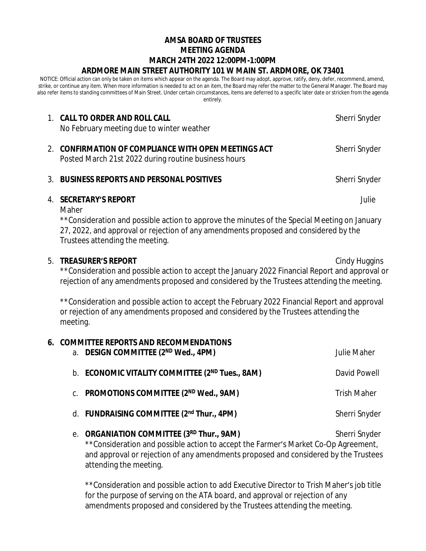# **AMSA BOARD OF TRUSTEES MEETING AGENDA MARCH 24TH 2022 12:00PM-1:00PM ARDMORE MAIN STREET AUTHORITY 101 W MAIN ST. ARDMORE, OK 73401**

NOTICE: Official action can only be taken on items which appear on the agenda. The Board may adopt, approve, ratify, deny, defer, recommend, amend, strike, or continue any item. When more information is needed to act on an item, the Board may refer the matter to the General Manager. The Board may also refer items to standing committees of Main Street. Under certain circumstances, items are deferred to a specific later date or stricken from the agenda entirely.

| 1. CALL TO ORDER AND ROLL CALL<br>No February meeting due to winter weather                                  | Sherri Snyder |
|--------------------------------------------------------------------------------------------------------------|---------------|
| 2. CONFIRMATION OF COMPLIANCE WITH OPEN MEETINGS ACT<br>Posted March 21st 2022 during routine business hours | Sherri Snyder |

### 3. **BUSINESS REPORTS AND PERSONAL POSITIVES** Sherri Snyder

## 4. **SECRETARY'S REPORT** Julie

Maher

\*\*Consideration and possible action to approve the minutes of the Special Meeting on January 27, 2022, and approval or rejection of any amendments proposed and considered by the Trustees attending the meeting.

## 5. **TREASURER'S REPORT** Cindy Huggins

\*\*Consideration and possible action to accept the January 2022 Financial Report and approval or rejection of any amendments proposed and considered by the Trustees attending the meeting.

\*\*Consideration and possible action to accept the February 2022 Financial Report and approval or rejection of any amendments proposed and considered by the Trustees attending the meeting.

# **6. COMMITTEE REPORTS AND RECOMMENDATIONS**

| <b>Julie Maher</b> |
|--------------------|
| David Powell       |
| Trish Maher        |
| Sherri Snyder      |
|                    |

e. **ORGANIATION COMMITTEE (3RD Thur., 9AM)** Sherri Snyder \*\*Consideration and possible action to accept the Farmer's Market Co-Op Agreement, and approval or rejection of any amendments proposed and considered by the Trustees attending the meeting.

\*\*Consideration and possible action to add Executive Director to Trish Maher's job title for the purpose of serving on the ATA board, and approval or rejection of any amendments proposed and considered by the Trustees attending the meeting.